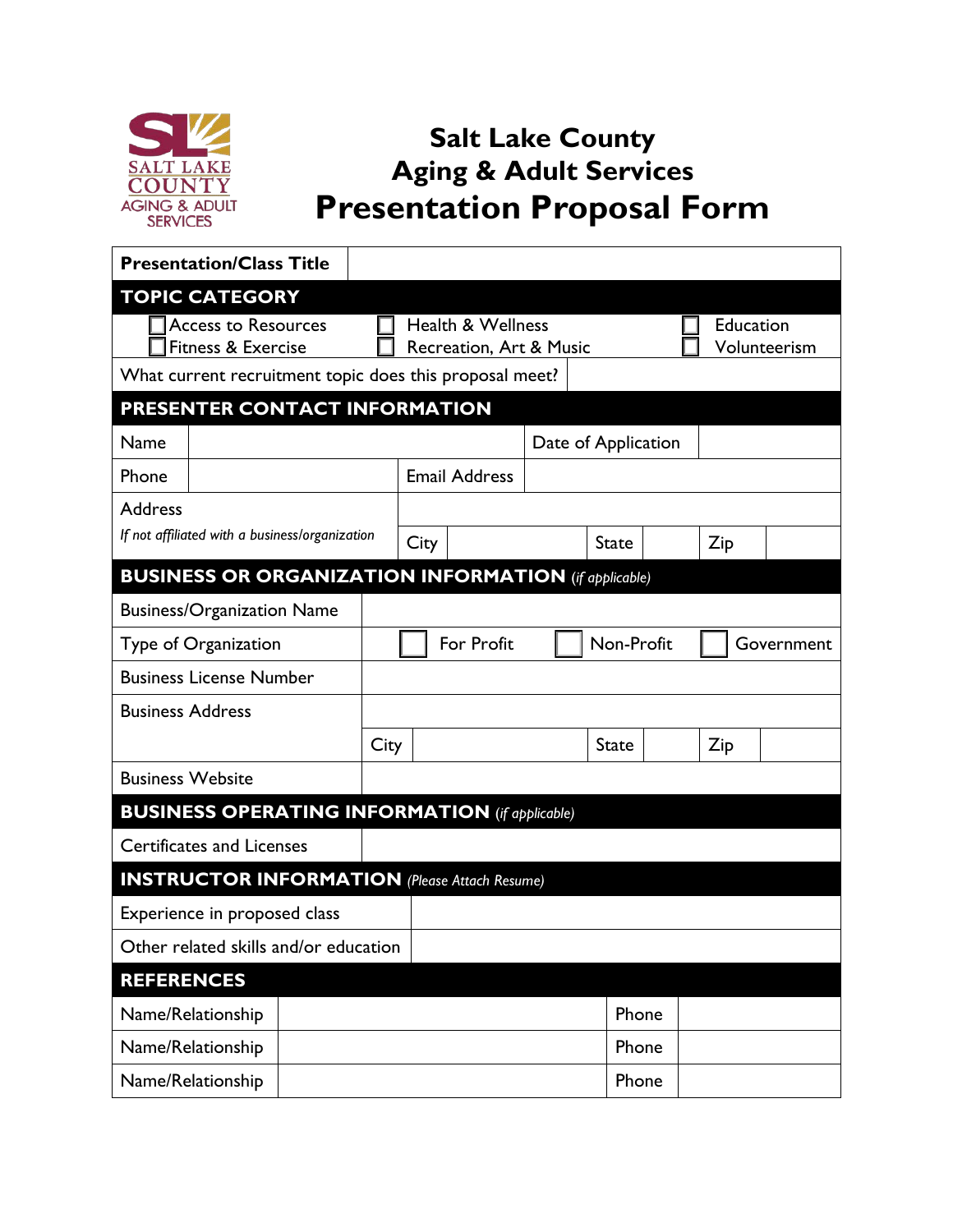

## **Salt Lake County Aging & Adult Services Presentation Proposal Form**

| <b>Presentation/Class Title</b>                             |  |      |                                                         |                      |  |              |                     |     |                           |  |  |
|-------------------------------------------------------------|--|------|---------------------------------------------------------|----------------------|--|--------------|---------------------|-----|---------------------------|--|--|
| <b>TOPIC CATEGORY</b>                                       |  |      |                                                         |                      |  |              |                     |     |                           |  |  |
| <b>Access to Resources</b><br>Fitness & Exercise            |  |      | <b>Health &amp; Wellness</b><br>Recreation, Art & Music |                      |  |              |                     |     | Education<br>Volunteerism |  |  |
| What current recruitment topic does this proposal meet?     |  |      |                                                         |                      |  |              |                     |     |                           |  |  |
| PRESENTER CONTACT INFORMATION                               |  |      |                                                         |                      |  |              |                     |     |                           |  |  |
| Name                                                        |  |      |                                                         |                      |  |              | Date of Application |     |                           |  |  |
| Phone                                                       |  |      |                                                         | <b>Email Address</b> |  |              |                     |     |                           |  |  |
| <b>Address</b>                                              |  |      |                                                         |                      |  |              |                     |     |                           |  |  |
| If not affiliated with a business/organization              |  |      | City                                                    |                      |  | <b>State</b> |                     | Zip |                           |  |  |
| <b>BUSINESS OR ORGANIZATION INFORMATION</b> (if applicable) |  |      |                                                         |                      |  |              |                     |     |                           |  |  |
| <b>Business/Organization Name</b>                           |  |      |                                                         |                      |  |              |                     |     |                           |  |  |
| Type of Organization                                        |  |      |                                                         | For Profit           |  | Non-Profit   |                     |     | Government                |  |  |
| <b>Business License Number</b>                              |  |      |                                                         |                      |  |              |                     |     |                           |  |  |
| <b>Business Address</b>                                     |  |      |                                                         |                      |  |              |                     |     |                           |  |  |
|                                                             |  | City |                                                         |                      |  | <b>State</b> |                     | Zip |                           |  |  |
| <b>Business Website</b>                                     |  |      |                                                         |                      |  |              |                     |     |                           |  |  |
| <b>BUSINESS OPERATING INFORMATION</b> (if applicable)       |  |      |                                                         |                      |  |              |                     |     |                           |  |  |
| <b>Certificates and Licenses</b>                            |  |      |                                                         |                      |  |              |                     |     |                           |  |  |
| <b>INSTRUCTOR INFORMATION</b> (Please Attach Resume)        |  |      |                                                         |                      |  |              |                     |     |                           |  |  |
| Experience in proposed class                                |  |      |                                                         |                      |  |              |                     |     |                           |  |  |
| Other related skills and/or education                       |  |      |                                                         |                      |  |              |                     |     |                           |  |  |
| <b>REFERENCES</b>                                           |  |      |                                                         |                      |  |              |                     |     |                           |  |  |
| Name/Relationship                                           |  |      |                                                         |                      |  |              | Phone               |     |                           |  |  |
| Name/Relationship                                           |  |      |                                                         |                      |  | Phone        |                     |     |                           |  |  |
| Name/Relationship                                           |  |      |                                                         |                      |  |              | Phone               |     |                           |  |  |